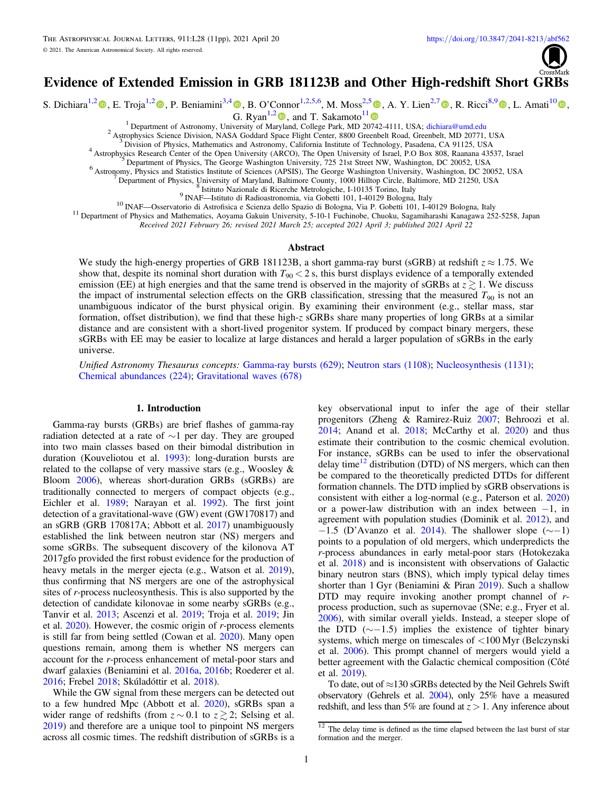

# Evidence of Extended Emission in GRB 181123B and Other High-redshift Short GRBs

S. Dichiara<sup>1,[2](https://orcid.org/0000-0002-1869-7817)</sup>  $\circ$ [,](https://orcid.org/0000-0002-7851-9756) E. Troja<sup>1,2</sup>  $\circ$ , P. Beniamini<sup>3,[4](https://orcid.org/0000-0001-7833-1043)</sup>  $\circ$ , B. O'Connor<sup>1,2,[5](https://orcid.org/0000-0002-1103-7082),6</sup>, M. Moss<sup>2,5</sup>  $\circ$ , A. Y. Lien<sup>2,[7](https://orcid.org/0000-0002-7851-9756)</sup>  $\circ$ , R. Ricci<sup>8,[9](https://orcid.org/0000-0003-4631-1528)</sup>  $\circ$ , L. Amati<sup>1[0](https://orcid.org/0000-0001-5355-7388)</sup>  $\circ$ ,

G. Ryan<sup>1,[2](https://orcid.org/0000-0001-9068-7157)</sup>  $\bullet$ , and T. Sakamoto<sup>[1](https://orcid.org/0000-0001-6276-6616)1</sup>  $\bullet$ <br><sup>1</sup> Department of Astronomy, University of Maryland, College Park, MD 20742-4111, USA; dichiara@umd.edu

<sup>2</sup> Astrophysics Science Division, NASA Goddard Space Flight Center, 8800 Greenbelt Road, Greenbelt, MD 20771, USA<br><sup>3</sup> Division of Physics, Mathematics and Astronomy, California Institute of Technology, Pasadena, CA 91125

Received 2021 February 26; revised 2021 March 25; accepted 2021 April 3; published 2021 April 22

### Abstract

We study the high-energy properties of GRB 181123B, a short gamma-ray burst (sGRB) at redshift  $z \approx 1.75$ . We show that, despite its nominal short duration with  $T_{90} < 2$  s, this burst displays evidence of a temporally extended emission (EE) at high energies and that the same trend is observed in the majority of sGRBs at  $z \gtrsim 1$ . We discuss the impact of instrumental selection effects on the GRB classification, stressing that the measured  $T_{90}$  is not an unambiguous indicator of the burst physical origin. By examining their environment (e.g., stellar mass, star formation, offset distribution), we find that these high-z sGRBs share many properties of long GRBs at a similar distance and are consistent with a short-lived progenitor system. If produced by compact binary mergers, these sGRBs with EE may be easier to localize at large distances and herald a larger population of sGRBs in the early universe.

Unified Astronomy Thesaurus concepts: [Gamma-ray bursts](http://astrothesaurus.org/uat/629) (629); [Neutron stars](http://astrothesaurus.org/uat/1108) (1108); [Nucleosynthesis](http://astrothesaurus.org/uat/1131) (1131); [Chemical abundances](http://astrothesaurus.org/uat/224) (224); [Gravitational waves](http://astrothesaurus.org/uat/678) (678)

#### 1. Introduction

Gamma-ray bursts (GRBs) are brief flashes of gamma-ray radiation detected at a rate of  $\sim$ 1 per day. They are grouped into two main classes based on their bimodal distribution in duration (Kouveliotou et al. [1993](#page-10-0)): long-duration bursts are related to the collapse of very massive stars (e.g., Woosley & Bloom [2006](#page-10-0)), whereas short-duration GRBs (sGRBs) are traditionally connected to mergers of compact objects (e.g., Eichler et al. [1989;](#page-9-0) Narayan et al. [1992](#page-10-0)). The first joint detection of a gravitational-wave (GW) event (GW170817) and an sGRB (GRB 170817A; Abbott et al. [2017](#page-9-0)) unambiguously established the link between neutron star (NS) mergers and some sGRBs. The subsequent discovery of the kilonova AT 2017gfo provided the first robust evidence for the production of heavy metals in the merger ejecta (e.g., Watson et al. [2019](#page-10-0)), thus confirming that NS mergers are one of the astrophysical sites of r-process nucleosynthesis. This is also supported by the detection of candidate kilonovae in some nearby sGRBs (e.g., Tanvir et al. [2013](#page-10-0); Ascenzi et al. [2019;](#page-9-0) Troja et al. [2019](#page-10-0); Jin et al.  $2020$ ). However, the cosmic origin of *r*-process elements is still far from being settled (Cowan et al. [2020](#page-9-0)). Many open questions remain, among them is whether NS mergers can account for the r-process enhancement of metal-poor stars and dwarf galaxies (Beniamini et al. [2016a,](#page-9-0) [2016b](#page-9-0); Roederer et al. [2016;](#page-10-0) Frebel [2018](#page-9-0); Skúladóttir et al. [2018](#page-10-0)).

While the GW signal from these mergers can be detected out to a few hundred Mpc (Abbott et al. [2020](#page-9-0)), sGRBs span a wider range of redshifts (from  $z \sim 0.1$  to  $z \gtrsim 2$ ; Selsing et al. [2019](#page-10-0)) and therefore are a unique tool to pinpoint NS mergers across all cosmic times. The redshift distribution of sGRBs is a

key observational input to infer the age of their stellar progenitors (Zheng & Ramirez-Ruiz [2007;](#page-10-0) Behroozi et al.  $2014$ ; Anand et al.  $2018$ ; McCarthy et al.  $2020$ ) and thus estimate their contribution to the cosmic chemical evolution. For instance, sGRBs can be used to infer the observational delay time<sup>12</sup> distribution (DTD) of NS mergers, which can then be compared to the theoretically predicted DTDs for different formation channels. The DTD implied by sGRB observations is consistent with either a log-normal (e.g., Paterson et al. [2020](#page-10-0)) or a power-law distribution with an index between −1, in agreement with population studies (Dominik et al. [2012](#page-9-0)), and −1.5 (D'Avanzo et al. [2014](#page-9-0)). The shallower slope ( $\sim$ −1) points to a population of old mergers, which underpredicts the r-process abundances in early metal-poor stars (Hotokezaka et al. [2018](#page-10-0)) and is inconsistent with observations of Galactic binary neutron stars (BNS), which imply typical delay times shorter than 1 Gyr (Beniamini & Piran [2019](#page-9-0)). Such a shallow DTD may require invoking another prompt channel of rprocess production, such as supernovae (SNe; e.g., Fryer et al. [2006](#page-9-0)), with similar overall yields. Instead, a steeper slope of the DTD  $(\sim$ −1.5) implies the existence of tighter binary systems, which merge on timescales of <100 Myr (Belczynski et al. [2006](#page-9-0)). This prompt channel of mergers would yield a better agreement with the Galactic chemical composition (Côté et al. [2019](#page-9-0)).

To date, out of  $\approx$ 130 sGRBs detected by the Neil Gehrels Swift observatory (Gehrels et al. [2004](#page-9-0)), only 25% have a measured redshift, and less than 5% are found at  $z > 1$ . Any inference about

 $12$  The delay time is defined as the time elapsed between the last burst of star formation and the merger.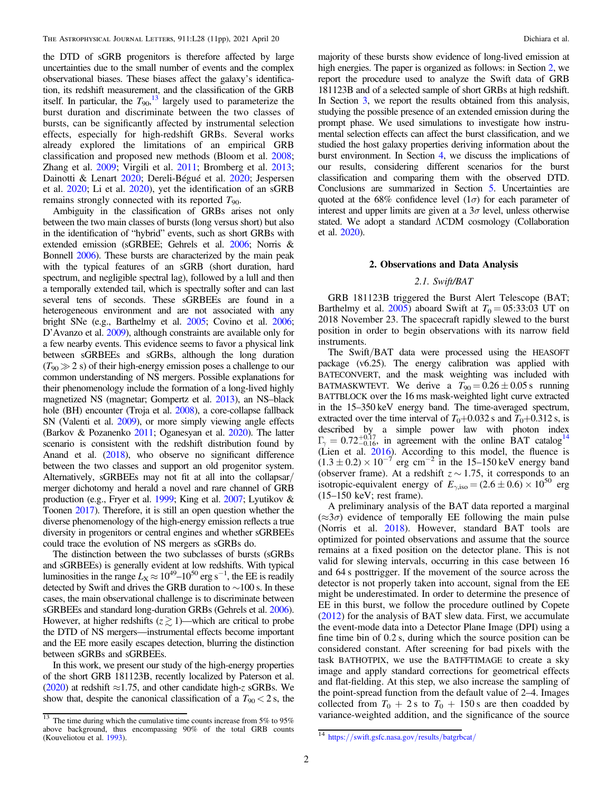<span id="page-1-0"></span>the DTD of sGRB progenitors is therefore affected by large uncertainties due to the small number of events and the complex observational biases. These biases affect the galaxy's identification, its redshift measurement, and the classification of the GRB itself. In particular, the  $T_{90}$ ,  $^{13}$  largely used to parameterize the burst duration and discriminate between the two classes of bursts, can be significantly affected by instrumental selection effects, especially for high-redshift GRBs. Several works already explored the limitations of an empirical GRB classification and proposed new methods (Bloom et al. [2008](#page-9-0); Zhang et al. [2009](#page-10-0); Virgili et al. [2011;](#page-10-0) Bromberg et al. [2013](#page-9-0); Dainotti & Lenart [2020;](#page-9-0) Dereli-Bégué et al. [2020](#page-9-0); Jespersen et al. [2020;](#page-10-0) Li et al. [2020](#page-10-0)), yet the identification of an sGRB remains strongly connected with its reported  $T_{90}$ .

Ambiguity in the classification of GRBs arises not only between the two main classes of bursts (long versus short) but also in the identification of "hybrid" events, such as short GRBs with extended emission (sGRBEE; Gehrels et al. [2006;](#page-9-0) Norris & Bonnell [2006](#page-10-0)). These bursts are characterized by the main peak with the typical features of an sGRB (short duration, hard spectrum, and negligible spectral lag), followed by a lull and then a temporally extended tail, which is spectrally softer and can last several tens of seconds. These sGRBEEs are found in a heterogeneous environment and are not associated with any bright SNe (e.g., Barthelmy et al. [2005;](#page-9-0) Covino et al. [2006](#page-9-0); D'Avanzo et al. [2009](#page-9-0)), although constraints are available only for a few nearby events. This evidence seems to favor a physical link between sGRBEEs and sGRBs, although the long duration  $(T_{90} \gg 2 \text{ s})$  of their high-energy emission poses a challenge to our common understanding of NS mergers. Possible explanations for their phenomenology include the formation of a long-lived highly magnetized NS (magnetar; Gompertz et al. [2013](#page-9-0)), an NS–black hole (BH) encounter (Troja et al. [2008](#page-10-0)), a core-collapse fallback SN (Valenti et al. [2009](#page-10-0)), or more simply viewing angle effects (Barkov & Pozanenko [2011](#page-9-0); Oganesyan et al. [2020](#page-10-0)). The latter scenario is consistent with the redshift distribution found by Anand et al. ([2018](#page-9-0)), who observe no significant difference between the two classes and support an old progenitor system. Alternatively, sGRBEEs may not fit at all into the collapsar/ merger dichotomy and herald a novel and rare channel of GRB production (e.g., Fryer et al. [1999;](#page-9-0) King et al. [2007;](#page-10-0) Lyutikov & Toonen [2017](#page-10-0)). Therefore, it is still an open question whether the diverse phenomenology of the high-energy emission reflects a true diversity in progenitors or central engines and whether sGRBEEs could trace the evolution of NS mergers as sGRBs do.

The distinction between the two subclasses of bursts (sGRBs and sGRBEEs) is generally evident at low redshifts. With typical luminosities in the range  $L_{\rm X} \approx 10^{49}$ – $10^{50}$  erg s<sup>-1</sup>, the EE is readily detected by Swift and drives the GRB duration to ∼100 s. In these cases, the main observational challenge is to discriminate between sGRBEEs and standard long-duration GRBs (Gehrels et al. [2006](#page-9-0)). However, at higher redshifts  $(z \gtrsim 1)$ —which are critical to probe the DTD of NS mergers—instrumental effects become important and the EE more easily escapes detection, blurring the distinction between sGRBs and sGRBEEs.

In this work, we present our study of the high-energy properties of the short GRB 181123B, recently localized by Paterson et al. ([2020](#page-10-0)) at redshift  $\approx$ 1.75, and other candidate high-z sGRBs. We show that, despite the canonical classification of a  $T_{90} < 2$  s, the

majority of these bursts show evidence of long-lived emission at high energies. The paper is organized as follows: in Section 2, we report the procedure used to analyze the Swift data of GRB 181123B and of a selected sample of short GRBs at high redshift. In Section [3](#page-2-0), we report the results obtained from this analysis, studying the possible presence of an extended emission during the prompt phase. We used simulations to investigate how instrumental selection effects can affect the burst classification, and we studied the host galaxy properties deriving information about the burst environment. In Section [4](#page-6-0), we discuss the implications of our results, considering different scenarios for the burst classification and comparing them with the observed DTD. Conclusions are summarized in Section [5](#page-8-0). Uncertainties are quoted at the 68% confidence level  $(1\sigma)$  for each parameter of interest and upper limits are given at a  $3\sigma$  level, unless otherwise stated. We adopt a standard ΛCDM cosmology (Collaboration et al. [2020](#page-10-0)).

# 2. Observations and Data Analysis

# 2.1. Swift/BAT

GRB 181123B triggered the Burst Alert Telescope (BAT; Barthelmy et al. [2005](#page-9-0)) aboard Swift at  $T_0 = 0.533:03$  UT on 2018 November 23. The spacecraft rapidly slewed to the burst position in order to begin observations with its narrow field instruments.

The Swift/BAT data were processed using the HEASOFT package (v6.25). The energy calibration was applied with BATECONVERT, and the mask weighting was included with BATMASKWTEVT. We derive a  $T_{90} = 0.26 \pm 0.05$  s running BATTBLOCK over the 16 ms mask-weighted light curve extracted in the 15–350 keV energy band. The time-averaged spectrum, extracted over the time interval of  $T_0+0.032$  s and  $T_0+0.312$  s, is described by a simple power law with photon index  $\Gamma_{\gamma} = 0.72^{+0.17}_{-0.16}$ , in agreement with the online BAT catalog<sup>14</sup> (Lien et al. [2016](#page-10-0)). According to this model, the fluence is  $(1.3 \pm 0.2) \times 10^{-7}$  erg cm<sup>-2</sup> in the 15–150 keV energy band (observer frame). At a redshift  $z \sim 1.75$ , it corresponds to an isotropic-equivalent energy of  $E_{\gamma,iso} = (2.6 \pm 0.6) \times 10^{50}$  erg (15–150 keV; rest frame).

A preliminary analysis of the BAT data reported a marginal  $(\approx 3\sigma)$  evidence of temporally EE following the main pulse (Norris et al. [2018](#page-10-0)). However, standard BAT tools are optimized for pointed observations and assume that the source remains at a fixed position on the detector plane. This is not valid for slewing intervals, occurring in this case between 16 and 64 s posttrigger. If the movement of the source across the detector is not properly taken into account, signal from the EE might be underestimated. In order to determine the presence of EE in this burst, we follow the procedure outlined by Copete ([2012](#page-9-0)) for the analysis of BAT slew data. First, we accumulate the event-mode data into a Detector Plane Image (DPI) using a fine time bin of 0.2 s, during which the source position can be considered constant. After screening for bad pixels with the task BATHOTPIX, we use the BATFFTIMAGE to create a sky image and apply standard corrections for geometrical effects and flat-fielding. At this step, we also increase the sampling of the point-spread function from the default value of 2–4. Images collected from  $T_0 + 2s$  to  $T_0 + 150s$  are then coadded by variance-weighted addition, and the significance of the source

 $13$  The time during which the cumulative time counts increase from 5% to 95% above background, thus encompassing 90% of the total GRB counts (Kouveliotou et al. 1993).

<sup>&</sup>lt;sup>14</sup> https://[swift.gsfc.nasa.gov](https://swift.gsfc.nasa.gov/results/batgrbcat/)/results/batgrbcat/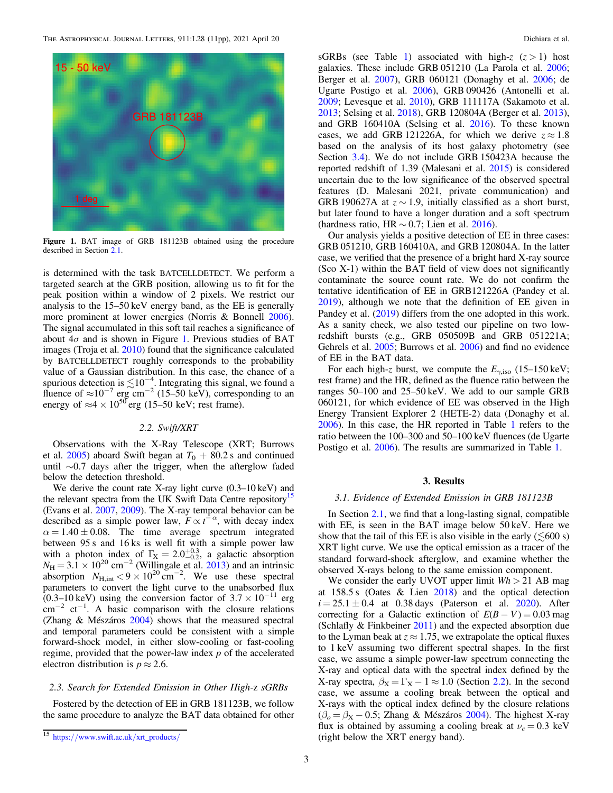<span id="page-2-0"></span>

Figure 1. BAT image of GRB 181123B obtained using the procedure described in Section [2.1.](#page-1-0)

is determined with the task BATCELLDETECT. We perform a targeted search at the GRB position, allowing us to fit for the peak position within a window of 2 pixels. We restrict our analysis to the 15–50 keV energy band, as the EE is generally more prominent at lower energies (Norris & Bonnell [2006](#page-10-0)). The signal accumulated in this soft tail reaches a significance of about  $4\sigma$  and is shown in Figure 1. Previous studies of BAT images (Troja et al. [2010](#page-10-0)) found that the significance calculated by BATCELLDETECT roughly corresponds to the probability value of a Gaussian distribution. In this case, the chance of a spurious detection is  $\leq 10^{-4}$ . Integrating this signal, we found a fluence of  $\approx 10^{-7}$  erg cm<sup>-2</sup> (15–50 keV), corresponding to an energy of  $\approx$ 4 × 10<sup>50</sup> erg (15–50 keV; rest frame).

# 2.2. Swift/XRT

Observations with the X-Ray Telescope (XRT; Burrows et al. [2005](#page-9-0)) aboard Swift began at  $T_0 + 80.2$  s and continued until ∼0.7 days after the trigger, when the afterglow faded below the detection threshold.

We derive the count rate X-ray light curve  $(0.3-10 \text{ keV})$  and the relevant spectra from the UK Swift Data Centre repository<sup>15</sup> (Evans et al. [2007](#page-9-0), [2009](#page-9-0)). The X-ray temporal behavior can be described as a simple power law,  $F \propto t^{-\alpha}$ , with decay index  $\alpha = 1.40 \pm 0.08$ . The time average spectrum integrated between 95 s and 16 ks is well fit with a simple power law with a photon index of  $\Gamma_{\text{X}} = 2.0^{+0.3}_{-0.2}$ , a galactic absorption  $N_{\rm H} = 3.1 \times 10^{20}$  cm<sup>-2</sup> (Willingale et al. [2013](#page-10-0)) and an intrinsic absorption  $N_{\text{H,int}} < 9 \times 10^{20} \text{ cm}^{-2}$ . We use these spectral parameters to convert the light curve to the unabsorbed flux  $(0.3-10 \,\text{keV})$  using the conversion factor of  $3.7 \times 10^{-11}$  erg  $\text{cm}^{-2}$  ct<sup>-1</sup>. A basic comparison with the closure relations (Zhang & Mészáros [2004](#page-10-0)) shows that the measured spectral and temporal parameters could be consistent with a simple forward-shock model, in either slow-cooling or fast-cooling regime, provided that the power-law index  $p$  of the accelerated electron distribution is  $p \approx 2.6$ .

# 2.3. Search for Extended Emission in Other High-z sGRBs

Fostered by the detection of EE in GRB 181123B, we follow the same procedure to analyze the BAT data obtained for other sGRBs (see Table [1](#page-3-0)) associated with high-z  $(z > 1)$  host galaxies. These include GRB 051210 (La Parola et al. [2006](#page-10-0); Berger et al. [2007](#page-9-0)), GRB 060121 (Donaghy et al. [2006;](#page-9-0) de Ugarte Postigo et al. [2006](#page-9-0)), GRB 090426 (Antonelli et al. [2009;](#page-9-0) Levesque et al. [2010](#page-10-0)), GRB 111117A (Sakamoto et al. [2013;](#page-10-0) Selsing et al. [2018](#page-10-0)), GRB 120804A (Berger et al. [2013](#page-9-0)), and GRB 160410A (Selsing et al. [2016](#page-10-0)). To these known cases, we add GRB 121226A, for which we derive  $z \approx 1.8$ based on the analysis of its host galaxy photometry (see Section [3.4](#page-6-0)). We do not include GRB 150423A because the reported redshift of 1.39 (Malesani et al. [2015](#page-10-0)) is considered uncertain due to the low significance of the observed spectral features (D. Malesani 2021, private communication) and GRB 190627A at  $z \sim 1.9$ , initially classified as a short burst, but later found to have a longer duration and a soft spectrum (hardness ratio, HR  $\sim$  0.7; Lien et al. [2016](#page-10-0)).

Our analysis yields a positive detection of EE in three cases: GRB 051210, GRB 160410A, and GRB 120804A. In the latter case, we verified that the presence of a bright hard X-ray source (Sco X-1) within the BAT field of view does not significantly contaminate the source count rate. We do not confirm the tentative identification of EE in GRB121226A (Pandey et al. [2019](#page-10-0)), although we note that the definition of EE given in Pandey et al. ([2019](#page-10-0)) differs from the one adopted in this work. As a sanity check, we also tested our pipeline on two lowredshift bursts (e.g., GRB 050509B and GRB 051221A; Gehrels et al. [2005;](#page-9-0) Burrows et al. [2006](#page-9-0)) and find no evidence of EE in the BAT data.

For each high-z burst, we compute the  $E_{\gamma,iso}$  (15–150 keV; rest frame) and the HR, defined as the fluence ratio between the ranges 50–100 and 25–50 keV. We add to our sample GRB 060121, for which evidence of EE was observed in the High Energy Transient Explorer 2 (HETE-2) data (Donaghy et al. [2006](#page-9-0)). In this case, the HR reported in Table [1](#page-3-0) refers to the ratio between the 100–300 and 50–100 keV fluences (de Ugarte Postigo et al. [2006](#page-9-0)). The results are summarized in Table [1](#page-3-0).

### 3. Results

### 3.1. Evidence of Extended Emission in GRB 181123B

In Section [2.1,](#page-1-0) we find that a long-lasting signal, compatible with EE, is seen in the BAT image below 50 keV. Here we show that the tail of this EE is also visible in the early  $(\leq 600 \text{ s})$ XRT light curve. We use the optical emission as a tracer of the standard forward-shock afterglow, and examine whether the observed X-rays belong to the same emission component.

We consider the early UVOT upper limit  $Wh > 21$  AB mag at 158.5 s (Oates & Lien [2018](#page-10-0)) and the optical detection  $i = 25.1 \pm 0.4$  at 0.38 days (Paterson et al. [2020](#page-10-0)). After correcting for a Galactic extinction of  $E(B - V) = 0.03$  mag (Schlafly & Finkbeiner [2011](#page-10-0)) and the expected absorption due to the Lyman beak at  $z \approx 1.75$ , we extrapolate the optical fluxes to 1 keV assuming two different spectral shapes. In the first case, we assume a simple power-law spectrum connecting the X-ray and optical data with the spectral index defined by the X-ray spectra,  $\beta_X = \Gamma_X - 1 \approx 1.0$  (Section 2.2). In the second case, we assume a cooling break between the optical and X-rays with the optical index defined by the closure relations  $(\beta_o = \beta_{\rm X} - 0.5;$  Zhang & Mészáros [2004](#page-10-0)). The highest X-ray flux is obtained by assuming a cooling break at  $\nu_c = 0.3 \text{ keV}$ (right below the XRT energy band).

<sup>15</sup> https://[www.swift.ac.uk](https://www.swift.ac.uk/xrt_products/)/xrt\_products/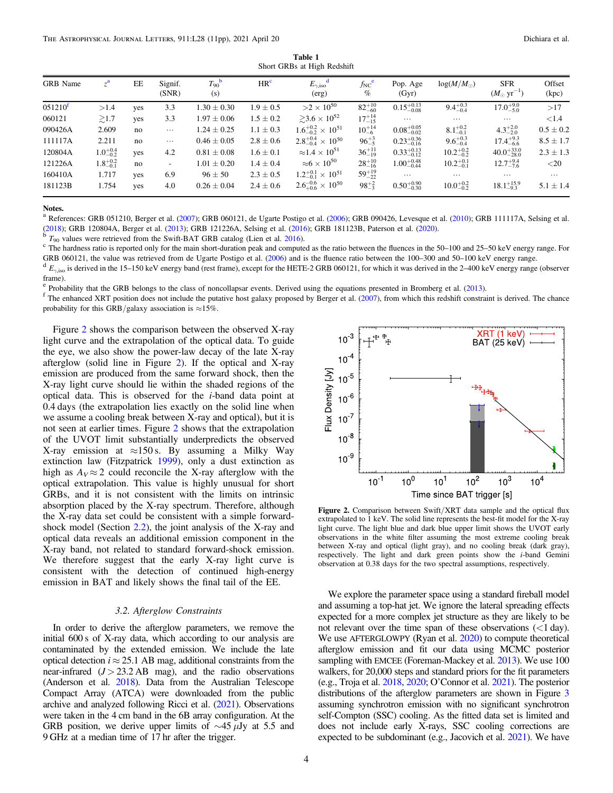Table 1 Short GRBs at High Redshift

<span id="page-3-0"></span>

| <b>GRB</b> Name | $z^{\mathbf{a}}$    | EE  | Signif.<br>(SNR) | $T_{90}$ <sup>b</sup><br>(s) | HR <sup>c</sup> | $E_{\gamma, \rm iso}^{\rm d}$<br>(erg)  | $f_{NC}^{\ e}$<br>% | Pop. Age<br>(Gyr)      | $log(M/M_{\odot})$   | <b>SFR</b><br>$(M_{\odot} \text{ yr}^{-1})$ | Offset<br>(kpc) |
|-----------------|---------------------|-----|------------------|------------------------------|-----------------|-----------------------------------------|---------------------|------------------------|----------------------|---------------------------------------------|-----------------|
| $051210^{f}$    | >1.4                | yes | 3.3              | $1.30 \pm 0.30$              | $1.9 \pm 0.5$   | $>2\times10^{50}$                       | $82^{+10}_{-60}$    | $0.15^{+0.13}_{-0.08}$ | $9.4^{+0.3}_{-0.4}$  | $17.0^{+9.0}_{-5.0}$                        | >17             |
| 060121          | $\gtrsim$ 1.7       | yes | 3.3              | $1.97 \pm 0.06$              | $1.5 \pm 0.2$   | $\geq 3.6 \times 10^{52}$               | $17^{+14}_{-15}$    | $\cdots$               | $\cdots$             | $\cdots$                                    | <1.4            |
| 090426A         | 2.609               | no  | $\cdots$         | $1.24 \pm 0.25$              | $1.1 \pm 0.3$   | $1.6^{+0.2}_{-0.2} \times 10^{51}$      | $10^{+14}_{-6}$     | $0.08_{-0.02}^{+0.05}$ | $8.1^{+0.2}_{-0.1}$  | $4.3^{+2.0}_{-2.0}$                         | $0.5 \pm 0.2$   |
| 111117A         | 2.211               | no  | $\cdots$         | $0.46 \pm 0.05$              | $2.8 \pm 0.6$   | $2.8^{+0.4}_{-0.4} \times 10^{50}$      | $96^{+3}_{-5}$      | $0.23_{-0.16}^{+0.36}$ | $9.6^{+0.3}_{-0.4}$  | $17.4^{+9.3}_{-6.6}$                        | $8.5 \pm 1.7$   |
| 120804A         | $1.0^{+0.4}_{-0.2}$ | yes | 4.2              | $0.81 \pm 0.08$              | $1.6 \pm 0.1$   | $\approx$ 1.4 $\times$ 10 <sup>51</sup> | $36^{+11}_{-19}$    | $0.33_{-0.12}^{+0.13}$ | $10.2^{+0.2}_{-0.2}$ | $40.0_{-28.0}^{+33.0}$                      | $2.3 \pm 1.3$   |
| 121226A         | $1.8^{+0.2}_{-0.1}$ | no  | ۰.               | $1.01 \pm 0.20$              | $1.4 \pm 0.4$   | $\approx 6 \times 10^{50}$              | $28^{+10}_{-16}$    | $1.00_{-0.44}^{+0.48}$ | $10.2^{+0.1}_{-0.1}$ | $12.7^{+9.4}_{-7.6}$                        | ${<}20$         |
| 160410A         | 1.717               | yes | 6.9              | $96 \pm 50$                  | $2.3 \pm 0.5$   | $1.2^{+0.1}_{-0.1} \times 10^{51}$      | $59^{+19}_{-22}$    | $\cdots$               | $\cdots$             | $\cdots$                                    | $\cdots$        |
| 181123B         | 1.754               | yes | 4.0              | $0.26 \pm 0.04$              | $2.4 \pm 0.6$   | $2.6^{+0.6}_{+0.6} \times 10^{50}$      | $98^{+2}_{-3}$      | $0.50_{-0.30}^{+0.90}$ | $10.0^{+0.2}_{-0.2}$ | $18.1_{-9.3}^{+15.9}$                       | $5.1 \pm 1.4$   |

Notes.

 $^a$  References: GRB 051210, Berger et al. ([2007](#page-9-0)); GRB 060121, de Ugarte Postigo et al. ([2006](#page-9-0)); GRB 090426, Levesque et al. ([2010](#page-10-0)); GRB 111117A, Selsing et al. ([2018](#page-10-0)); GRB 120804A, Berger et al. ([2013](#page-9-0)); GRB 121226A, Selsing et al. ([2016](#page-10-0)); GRB 181123B, Paterson et al. ([2020](#page-10-0)).<br>
<sup>b</sup>  $T_{90}$  values were retrieved from the Swift-BAT GRB catalog (Lien et al. 2016).<br>
<sup>c</sup> The hardness r

GRB 060121, the value was retrieved from de Ugarte Postigo et al. ([2006](#page-9-0)) and is the fluence ratio between the 100–300 and 50–100 keV energy range.<br><sup>d</sup>  $E_{\gamma,iso}$  is derived in the 15–150 keV energy band (rest frame), excep

frame).<br><sup>e</sup> Probability that the GRB belongs to the class of noncollapsar events. Derived using the equations presented in Bromberg et al. ([2013](#page-9-0)).<br><sup>f</sup> The enhanced XRT position does not include the putative host galaxy pr probability for this GRB/galaxy association is  $\approx$ 15%.

Figure 2 shows the comparison between the observed X-ray light curve and the extrapolation of the optical data. To guide the eye, we also show the power-law decay of the late X-ray afterglow (solid line in Figure 2). If the optical and X-ray emission are produced from the same forward shock, then the X-ray light curve should lie within the shaded regions of the optical data. This is observed for the i-band data point at 0.4 days (the extrapolation lies exactly on the solid line when we assume a cooling break between X-ray and optical), but it is not seen at earlier times. Figure 2 shows that the extrapolation of the UVOT limit substantially underpredicts the observed X-ray emission at  $\approx$ 150 s. By assuming a Milky Way extinction law (Fitzpatrick [1999](#page-9-0)), only a dust extinction as high as  $A_V \approx 2$  could reconcile the X-ray afterglow with the optical extrapolation. This value is highly unusual for short GRBs, and it is not consistent with the limits on intrinsic absorption placed by the X-ray spectrum. Therefore, although the X-ray data set could be consistent with a simple forwardshock model (Section [2.2](#page-2-0)), the joint analysis of the X-ray and optical data reveals an additional emission component in the X-ray band, not related to standard forward-shock emission. We therefore suggest that the early X-ray light curve is consistent with the detection of continued high-energy emission in BAT and likely shows the final tail of the EE.

# 3.2. Afterglow Constraints

In order to derive the afterglow parameters, we remove the initial 600 s of X-ray data, which according to our analysis are contaminated by the extended emission. We include the late optical detection  $i \approx 25.1$  AB mag, additional constraints from the near-infrared  $(J > 23.2$  AB mag), and the radio observations (Anderson et al. [2018](#page-9-0)). Data from the Australian Telescope Compact Array (ATCA) were downloaded from the public archive and analyzed following Ricci et al. ([2021](#page-10-0)). Observations were taken in the 4 cm band in the 6B array configuration. At the GRB position, we derive upper limits of  $\sim$ 45 µJy at 5.5 and 9 GHz at a median time of 17 hr after the trigger.



Figure 2. Comparison between Swift/XRT data sample and the optical flux extrapolated to 1 keV. The solid line represents the best-fit model for the X-ray light curve. The light blue and dark blue upper limit shows the UVOT early observations in the white filter assuming the most extreme cooling break between X-ray and optical (light gray), and no cooling break (dark gray), respectively. The light and dark green points show the i-band Gemini observation at 0.38 days for the two spectral assumptions, respectively.

We explore the parameter space using a standard fireball model and assuming a top-hat jet. We ignore the lateral spreading effects expected for a more complex jet structure as they are likely to be not relevant over the time span of these observations  $\left($  < 1 day). We use AFTERGLOWPY (Ryan et al. [2020](#page-10-0)) to compute theoretical afterglow emission and fit our data using MCMC posterior sampling with EMCEE (Foreman-Mackey et al. [2013](#page-9-0)). We use 100 walkers, for 20,000 steps and standard priors for the fit parameters (e.g., Troja et al. [2018](#page-10-0), [2020](#page-10-0); O'Connor et al. [2021](#page-10-0)). The posterior distributions of the afterglow parameters are shown in Figure [3](#page-4-0) assuming synchrotron emission with no significant synchrotron self-Compton (SSC) cooling. As the fitted data set is limited and does not include early X-rays, SSC cooling corrections are expected to be subdominant (e.g., Jacovich et al. [2021](#page-10-0)). We have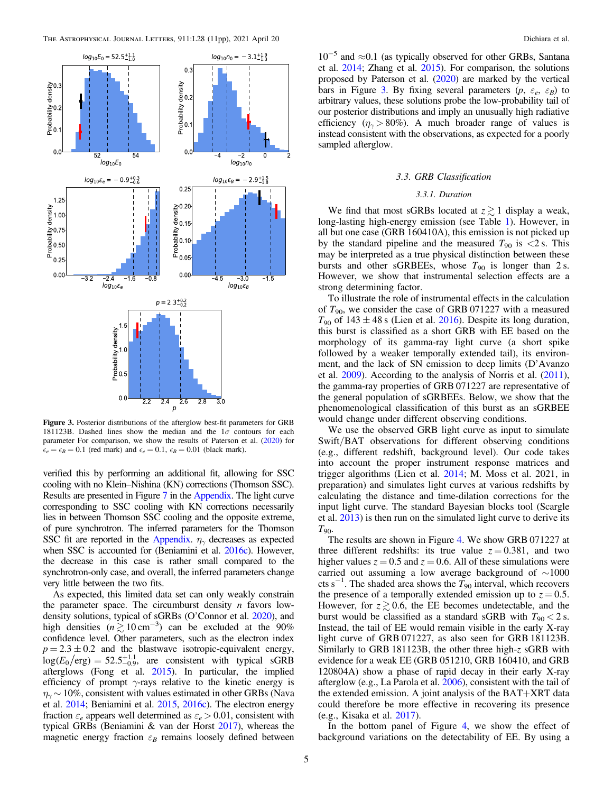<span id="page-4-0"></span>

Figure 3. Posterior distributions of the afterglow best-fit parameters for GRB 181123B. Dashed lines show the median and the  $1\sigma$  contours for each parameter For comparison, we show the results of Paterson et al. ([2020](#page-10-0)) for  $\epsilon_e = \epsilon_B = 0.1$  (red mark) and  $\epsilon_e = 0.1$ ,  $\epsilon_B = 0.01$  (black mark).

verified this by performing an additional fit, allowing for SSC cooling with no Klein–Nishina (KN) corrections (Thomson SSC). Results are presented in Figure [7](#page-9-0) in the [Appendix](#page-8-0). The light curve corresponding to SSC cooling with KN corrections necessarily lies in between Thomson SSC cooling and the opposite extreme, of pure synchrotron. The inferred parameters for the Thomson SSC fit are reported in the [Appendix](#page-8-0).  $\eta_{\gamma}$  decreases as expected when SSC is accounted for (Beniamini et al. [2016c](#page-9-0)). However, the decrease in this case is rather small compared to the synchrotron-only case, and overall, the inferred parameters change very little between the two fits.

As expected, this limited data set can only weakly constrain the parameter space. The circumburst density  $n$  favors lowdensity solutions, typical of sGRBs (O'Connor et al. [2020](#page-10-0)), and high densities  $(n \gtrsim 10 \text{ cm}^{-3})$  can be excluded at the 90% confidence level. Other parameters, such as the electron index  $p = 2.3 \pm 0.2$  and the blastwave isotropic-equivalent energy,  $log(E_0/\text{erg}) = 52.5^{+1.1}_{-0.9}$ , are consistent with typical sGRB afterglows (Fong et al. [2015](#page-9-0)). In particular, the implied efficiency of prompt  $\gamma$ -rays relative to the kinetic energy is  $\eta_{\gamma}$  ~ 10%, consistent with values estimated in other GRBs (Nava et al. [2014](#page-10-0); Beniamini et al. [2015,](#page-9-0) [2016c](#page-9-0)). The electron energy fraction  $\varepsilon_e$  appears well determined as  $\varepsilon_e > 0.01$ , consistent with typical GRBs (Beniamini & van der Horst [2017](#page-9-0)), whereas the magnetic energy fraction  $\varepsilon_B$  remains loosely defined between

10−<sup>5</sup> and ≈0.1 (as typically observed for other GRBs, Santana et al. [2014](#page-10-0); Zhang et al. [2015](#page-10-0)). For comparison, the solutions proposed by Paterson et al. ([2020](#page-10-0)) are marked by the vertical bars in Figure 3. By fixing several parameters  $(p, \varepsilon_e, \varepsilon_B)$  to arbitrary values, these solutions probe the low-probability tail of our posterior distributions and imply an unusually high radiative efficiency ( $\eta_{\gamma} > 80\%$ ). A much broader range of values is instead consistent with the observations, as expected for a poorly sampled afterglow.

### 3.3. GRB Classification

#### 3.3.1. Duration

We find that most sGRBs located at  $z \gtrsim 1$  display a weak, long-lasting high-energy emission (see Table [1](#page-3-0)). However, in all but one case (GRB 160410A), this emission is not picked up by the standard pipeline and the measured  $T_{90}$  is  $\lt 2$  s. This may be interpreted as a true physical distinction between these bursts and other sGRBEEs, whose  $T_{90}$  is longer than 2 s. However, we show that instrumental selection effects are a strong determining factor.

To illustrate the role of instrumental effects in the calculation of  $T_{90}$ , we consider the case of GRB 071227 with a measured  $T_{90}$  of 143  $\pm$  48 s (Lien et al. [2016](#page-10-0)). Despite its long duration, this burst is classified as a short GRB with EE based on the morphology of its gamma-ray light curve (a short spike followed by a weaker temporally extended tail), its environment, and the lack of SN emission to deep limits (D'Avanzo et al. [2009](#page-9-0)). According to the analysis of Norris et al. ([2011](#page-10-0)), the gamma-ray properties of GRB 071227 are representative of the general population of sGRBEEs. Below, we show that the phenomenological classification of this burst as an sGRBEE would change under different observing conditions.

We use the observed GRB light curve as input to simulate Swift/BAT observations for different observing conditions (e.g., different redshift, background level). Our code takes into account the proper instrument response matrices and trigger algorithms (Lien et al. [2014](#page-10-0); M. Moss et al. 2021, in preparation) and simulates light curves at various redshifts by calculating the distance and time-dilation corrections for the input light curve. The standard Bayesian blocks tool (Scargle et al. [2013](#page-10-0)) is then run on the simulated light curve to derive its  $T_{90}$ 

The results are shown in Figure [4.](#page-5-0) We show GRB 071227 at three different redshifts: its true value  $z = 0.381$ , and two higher values  $z = 0.5$  and  $z = 0.6$ . All of these simulations were carried out assuming a low average background of ∼1000 cts s<sup>-1</sup>. The shaded area shows the  $T_{90}$  interval, which recovers the presence of a temporally extended emission up to  $z = 0.5$ . However, for  $z \gtrsim 0.6$ , the EE becomes undetectable, and the burst would be classified as a standard sGRB with  $T_{90} < 2$  s. Instead, the tail of EE would remain visible in the early X-ray light curve of GRB 071227, as also seen for GRB 181123B. Similarly to GRB 181123B, the other three high-z sGRB with evidence for a weak EE (GRB 051210, GRB 160410, and GRB 120804A) show a phase of rapid decay in their early X-ray afterglow (e.g., La Parola et al. [2006](#page-10-0)), consistent with the tail of the extended emission. A joint analysis of the BAT+XRT data could therefore be more effective in recovering its presence (e.g., Kisaka et al. [2017](#page-10-0)).

In the bottom panel of Figure [4](#page-5-0), we show the effect of background variations on the detectability of EE. By using a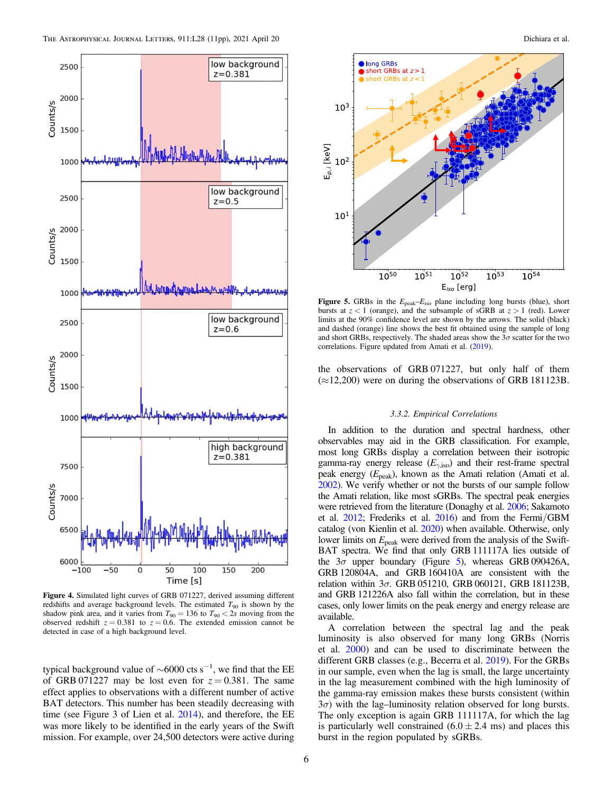<span id="page-5-0"></span>

Figure 4. Simulated light curves of GRB 071227, derived assuming different redshifts and average background levels. The estimated  $T_{90}$  is shown by the shadow pink area, and it varies from  $T_{90} = 136$  to  $T_{90} < 2s$  moving from the observed redshift  $z = 0.381$  to  $z = 0.6$ . The extended emission cannot be detected in case of a high background level.

typical background value of  $\sim$ 6000 cts s<sup>-1</sup>, we find that the EE of GRB 071227 may be lost even for  $z = 0.381$ . The same effect applies to observations with a different number of active BAT detectors. This number has been steadily decreasing with time (see Figure 3 of Lien et al. [2014](#page-10-0)), and therefore, the EE was more likely to be identified in the early years of the Swift mission. For example, over 24,500 detectors were active during



Figure 5. GRBs in the  $E_{\text{peak}}-E_{\text{iso}}$  plane including long bursts (blue), short bursts at  $z < 1$  (orange), and the subsample of sGRB at  $z > 1$  (red). Lower limits at the 90% confidence level are shown by the arrows. The solid (black) and dashed (orange) line shows the best fit obtained using the sample of long and short GRBs, respectively. The shaded areas show the  $3\sigma$  scatter for the two correlations. Figure updated from Amati et al. ([2019](#page-9-0)).

the observations of GRB 071227, but only half of them  $(\approx 12,200)$  were on during the observations of GRB 181123B.

#### 3.3.2. Empirical Correlations

In addition to the duration and spectral hardness, other observables may aid in the GRB classification. For example, most long GRBs display a correlation between their isotropic gamma-ray energy release ( $E_{\gamma,iso}$ ) and their rest-frame spectral peak energy  $(E_{peak})$ , known as the Amati relation (Amati et al. [2002](#page-9-0)). We verify whether or not the bursts of our sample follow the Amati relation, like most sGRBs. The spectral peak energies were retrieved from the literature (Donaghy et al. [2006;](#page-9-0) Sakamoto et al. [2012](#page-10-0); Frederiks et al. [2016](#page-9-0)) and from the Fermi/GBM catalog (von Kienlin et al. [2020](#page-10-0)) when available. Otherwise, only lower limits on  $E_{\text{peak}}$  were derived from the analysis of the Swift-BAT spectra. We find that only GRB 111117A lies outside of the  $3\sigma$  upper boundary (Figure 5), whereas GRB 090426A, GRB 120804A, and GRB 160410A are consistent with the relation within  $3σ$ . GRB 051210, GRB 060121, GRB 181123B, and GRB 121226A also fall within the correlation, but in these cases, only lower limits on the peak energy and energy release are available.

A correlation between the spectral lag and the peak luminosity is also observed for many long GRBs (Norris et al. [2000](#page-10-0)) and can be used to discriminate between the different GRB classes (e.g., Becerra et al. [2019](#page-9-0)). For the GRBs in our sample, even when the lag is small, the large uncertainty in the lag measurement combined with the high luminosity of the gamma-ray emission makes these bursts consistent (within  $3\sigma$ ) with the lag–luminosity relation observed for long bursts. The only exception is again GRB 111117A, for which the lag is particularly well constrained  $(6.0 \pm 2.4 \text{ ms})$  and places this burst in the region populated by sGRBs.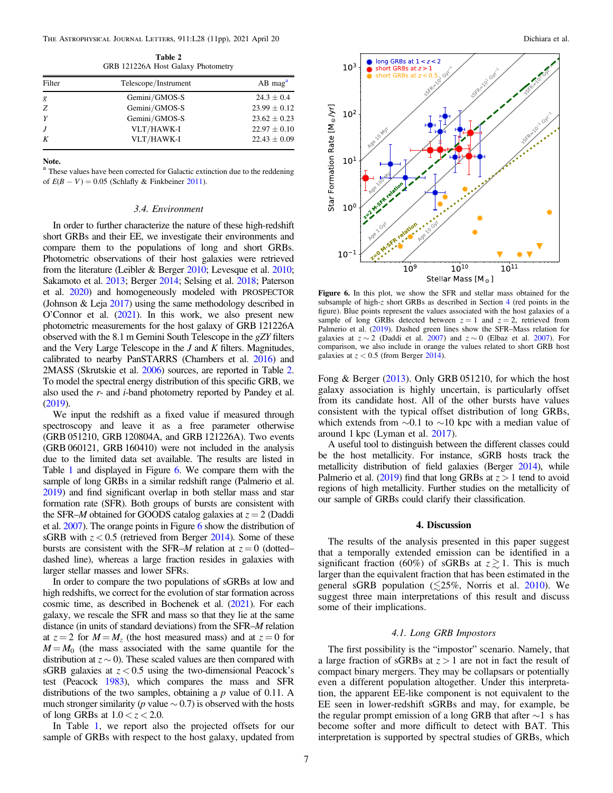Table 2 GRB 121226A Host Galaxy Photometry

<span id="page-6-0"></span>

| Filter | Telescope/Instrument | $AB$ mag <sup>a</sup> |  |  |
|--------|----------------------|-----------------------|--|--|
| g      | Gemini/GMOS-S        | $24.3 \pm 0.4$        |  |  |
| Z      | Gemini/GMOS-S        | $23.99 \pm 0.12$      |  |  |
|        | Gemini/GMOS-S        | $23.62 \pm 0.23$      |  |  |
| J      | VLT/HAWK-I           | $22.97 \pm 0.10$      |  |  |
| K      | VLT/HAWK-I           | $22.43 \pm 0.09$      |  |  |

Note.

<sup>a</sup> These values have been corrected for Galactic extinction due to the reddening of  $E(B - V) = 0.05$  (Schlafly & Finkbeiner [2011](#page-10-0)).

### 3.4. Environment

In order to further characterize the nature of these high-redshift short GRBs and their EE, we investigate their environments and compare them to the populations of long and short GRBs. Photometric observations of their host galaxies were retrieved from the literature (Leibler & Berger [2010;](#page-10-0) Levesque et al. [2010](#page-10-0); Sakamoto et al. [2013](#page-10-0); Berger [2014](#page-9-0); Selsing et al. [2018;](#page-10-0) Paterson et al. [2020](#page-10-0)) and homogeneously modeled with PROSPECTOR (Johnson & Leja [2017](#page-10-0)) using the same methodology described in O'Connor et al. ([2021](#page-10-0)). In this work, we also present new photometric measurements for the host galaxy of GRB 121226A observed with the 8.1 m Gemini South Telescope in the gZY filters and the Very Large Telescope in the J and K filters. Magnitudes, calibrated to nearby PanSTARRS (Chambers et al. [2016](#page-9-0)) and 2MASS (Skrutskie et al. [2006](#page-10-0)) sources, are reported in Table 2. To model the spectral energy distribution of this specific GRB, we also used the r- and i-band photometry reported by Pandey et al. ([2019](#page-10-0)).

We input the redshift as a fixed value if measured through spectroscopy and leave it as a free parameter otherwise (GRB 051210, GRB 120804A, and GRB 121226A). Two events (GRB 060121, GRB 160410) were not included in the analysis due to the limited data set available. The results are listed in Table [1](#page-3-0) and displayed in Figure 6. We compare them with the sample of long GRBs in a similar redshift range (Palmerio et al. [2019](#page-10-0)) and find significant overlap in both stellar mass and star formation rate (SFR). Both groups of bursts are consistent with the SFR–M obtained for GOODS catalog galaxies at  $z = 2$  (Daddi et al. [2007](#page-9-0)). The orange points in Figure 6 show the distribution of sGRB with  $z < 0.5$  (retrieved from Berger [2014](#page-9-0)). Some of these bursts are consistent with the SFR–M relation at  $z = 0$  (dotted– dashed line), whereas a large fraction resides in galaxies with larger stellar masses and lower SFRs.

In order to compare the two populations of sGRBs at low and high redshifts, we correct for the evolution of star formation across cosmic time, as described in Bochenek et al. ([2021](#page-9-0)). For each galaxy, we rescale the SFR and mass so that they lie at the same distance (in units of standard deviations) from the SFR–M relation at  $z = 2$  for  $M = M<sub>z</sub>$  (the host measured mass) and at  $z = 0$  for  $M = M_0$  (the mass associated with the same quantile for the distribution at  $z \sim 0$ ). These scaled values are then compared with sGRB galaxies at  $z < 0.5$  using the two-dimensional Peacock's test (Peacock [1983](#page-10-0)), which compares the mass and SFR distributions of the two samples, obtaining a  $p$  value of 0.11. A much stronger similarity (p value  $\sim$  0.7) is observed with the hosts of long GRBs at  $1.0 < z < 2.0$ .

In Table [1](#page-3-0), we report also the projected offsets for our sample of GRBs with respect to the host galaxy, updated from



Figure 6. In this plot, we show the SFR and stellar mass obtained for the subsample of high-z short GRBs as described in Section 4 (red points in the figure). Blue points represent the values associated with the host galaxies of a sample of long GRBs detected between  $z = 1$  and  $z = 2$ , retrieved from Palmerio et al. ([2019](#page-10-0)). Dashed green lines show the SFR–Mass relation for galaxies at  $z \sim 2$  (Daddi et al. [2007](#page-9-0)) and  $z \sim 0$  (Elbaz et al. 2007). For comparison, we also include in orange the values related to short GRB host galaxies at  $z < 0.5$  (from Berger [2014](#page-9-0)).

Fong & Berger ([2013](#page-9-0)). Only GRB 051210, for which the host galaxy association is highly uncertain, is particularly offset from its candidate host. All of the other bursts have values consistent with the typical offset distribution of long GRBs, which extends from  $\sim$ 0.1 to  $\sim$ 10 kpc with a median value of around 1 kpc (Lyman et al. [2017](#page-10-0)).

A useful tool to distinguish between the different classes could be the host metallicity. For instance, sGRB hosts track the metallicity distribution of field galaxies (Berger [2014](#page-9-0)), while Palmerio et al. ([2019](#page-10-0)) find that long GRBs at  $z > 1$  tend to avoid regions of high metallicity. Further studies on the metallicity of our sample of GRBs could clarify their classification.

### 4. Discussion

The results of the analysis presented in this paper suggest that a temporally extended emission can be identified in a significant fraction (60%) of sGRBs at  $z \gtrsim 1$ . This is much larger than the equivalent fraction that has been estimated in the general sGRB population  $(\leq 25\%$ , Norris et al. [2010](#page-10-0)). We suggest three main interpretations of this result and discuss some of their implications.

# 4.1. Long GRB Impostors

The first possibility is the "impostor" scenario. Namely, that a large fraction of sGRBs at  $z > 1$  are not in fact the result of compact binary mergers. They may be collapsars or potentially even a different population altogether. Under this interpretation, the apparent EE-like component is not equivalent to the EE seen in lower-redshift sGRBs and may, for example, be the regular prompt emission of a long GRB that after ∼1 s has become softer and more difficult to detect with BAT. This interpretation is supported by spectral studies of GRBs, which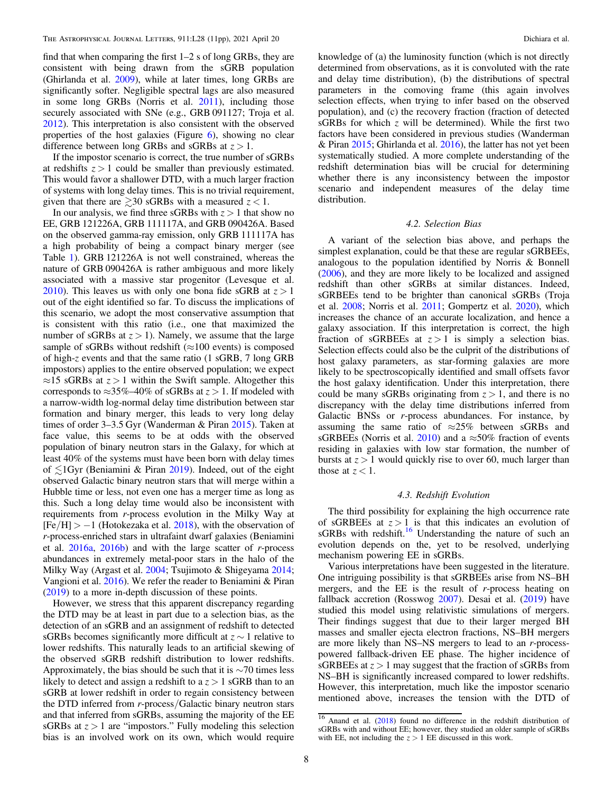find that when comparing the first 1–2 s of long GRBs, they are consistent with being drawn from the sGRB population (Ghirlanda et al. [2009](#page-9-0)), while at later times, long GRBs are significantly softer. Negligible spectral lags are also measured in some long GRBs (Norris et al. [2011](#page-10-0)), including those securely associated with SNe (e.g., GRB 091127; Troja et al. [2012](#page-10-0)). This interpretation is also consistent with the observed properties of the host galaxies (Figure  $6$ ), showing no clear difference between long GRBs and sGRBs at  $z > 1$ .

If the impostor scenario is correct, the true number of sGRBs at redshifts  $z > 1$  could be smaller than previously estimated. This would favor a shallower DTD, with a much larger fraction of systems with long delay times. This is no trivial requirement, given that there are  $\geq 30$  sGRBs with a measured  $z < 1$ .

In our analysis, we find three sGRBs with  $z > 1$  that show no EE, GRB 121226A, GRB 111117A, and GRB 090426A. Based on the observed gamma-ray emission, only GRB 111117A has a high probability of being a compact binary merger (see Table [1](#page-3-0)). GRB 121226A is not well constrained, whereas the nature of GRB 090426A is rather ambiguous and more likely associated with a massive star progenitor (Levesque et al. [2010](#page-10-0)). This leaves us with only one bona fide sGRB at  $z > 1$ out of the eight identified so far. To discuss the implications of this scenario, we adopt the most conservative assumption that is consistent with this ratio (i.e., one that maximized the number of sGRBs at  $z > 1$ ). Namely, we assume that the large sample of sGRBs without redshift ( $\approx$ 100 events) is composed of high-z events and that the same ratio (1 sGRB, 7 long GRB impostors) applies to the entire observed population; we expect  $\approx$ 15 sGRBs at  $z > 1$  within the Swift sample. Altogether this corresponds to  $\approx$ 35%–40% of sGRBs at  $z > 1$ . If modeled with a narrow-width log-normal delay time distribution between star formation and binary merger, this leads to very long delay times of order 3–3.5 Gyr (Wanderman & Piran [2015](#page-10-0)). Taken at face value, this seems to be at odds with the observed population of binary neutron stars in the Galaxy, for which at least 40% of the systems must have been born with delay times of  $\leq 1$ Gyr (Beniamini & Piran [2019](#page-9-0)). Indeed, out of the eight observed Galactic binary neutron stars that will merge within a Hubble time or less, not even one has a merger time as long as this. Such a long delay time would also be inconsistent with requirements from r-process evolution in the Milky Way at  $[Fe/H] > -1$  (Hotokezaka et al. [2018](#page-10-0)), with the observation of r-process-enriched stars in ultrafaint dwarf galaxies (Beniamini et al.  $2016a$ ,  $2016b$ ) and with the large scatter of *r*-process abundances in extremely metal-poor stars in the halo of the Milky Way (Argast et al. [2004;](#page-9-0) Tsujimoto & Shigeyama [2014](#page-10-0); Vangioni et al. [2016](#page-10-0)). We refer the reader to Beniamini & Piran ([2019](#page-9-0)) to a more in-depth discussion of these points.

However, we stress that this apparent discrepancy regarding the DTD may be at least in part due to a selection bias, as the detection of an sGRB and an assignment of redshift to detected sGRBs becomes significantly more difficult at  $z \sim 1$  relative to lower redshifts. This naturally leads to an artificial skewing of the observed sGRB redshift distribution to lower redshifts. Approximately, the bias should be such that it is  $\sim$ 70 times less likely to detect and assign a redshift to a  $z > 1$  sGRB than to an sGRB at lower redshift in order to regain consistency between the DTD inferred from r-process/Galactic binary neutron stars and that inferred from sGRBs, assuming the majority of the EE sGRBs at  $z > 1$  are "impostors." Fully modeling this selection bias is an involved work on its own, which would require

knowledge of (a) the luminosity function (which is not directly determined from observations, as it is convoluted with the rate and delay time distribution), (b) the distributions of spectral parameters in the comoving frame (this again involves selection effects, when trying to infer based on the observed population), and (c) the recovery fraction (fraction of detected sGRBs for which  $z$  will be determined). While the first two factors have been considered in previous studies (Wanderman & Piran [2015](#page-10-0); Ghirlanda et al. [2016](#page-9-0)), the latter has not yet been systematically studied. A more complete understanding of the redshift determination bias will be crucial for determining whether there is any inconsistency between the impostor scenario and independent measures of the delay time distribution.

### 4.2. Selection Bias

A variant of the selection bias above, and perhaps the simplest explanation, could be that these are regular sGRBEEs, analogous to the population identified by Norris & Bonnell ([2006](#page-10-0)), and they are more likely to be localized and assigned redshift than other sGRBs at similar distances. Indeed, sGRBEEs tend to be brighter than canonical sGRBs (Troja et al. [2008;](#page-10-0) Norris et al. [2011](#page-10-0); Gompertz et al. [2020](#page-9-0)), which increases the chance of an accurate localization, and hence a galaxy association. If this interpretation is correct, the high fraction of sGRBEEs at  $z > 1$  is simply a selection bias. Selection effects could also be the culprit of the distributions of host galaxy parameters, as star-forming galaxies are more likely to be spectroscopically identified and small offsets favor the host galaxy identification. Under this interpretation, there could be many sGRBs originating from  $z > 1$ , and there is no discrepancy with the delay time distributions inferred from Galactic BNSs or r-process abundances. For instance, by assuming the same ratio of  $\approx 25\%$  between sGRBs and sGRBEEs (Norris et al. [2010](#page-10-0)) and a  $\approx$ 50% fraction of events residing in galaxies with low star formation, the number of bursts at  $z > 1$  would quickly rise to over 60, much larger than those at  $z < 1$ .

# 4.3. Redshift Evolution

The third possibility for explaining the high occurrence rate of sGRBEEs at  $z > 1$  is that this indicates an evolution of sGRBs with redshift.<sup>16</sup> Understanding the nature of such an evolution depends on the, yet to be resolved, underlying mechanism powering EE in sGRBs.

Various interpretations have been suggested in the literature. One intriguing possibility is that sGRBEEs arise from NS–BH mergers, and the EE is the result of r-process heating on fallback accretion (Rosswog [2007](#page-10-0)). Desai et al. ([2019](#page-9-0)) have studied this model using relativistic simulations of mergers. Their findings suggest that due to their larger merged BH masses and smaller ejecta electron fractions, NS–BH mergers are more likely than NS–NS mergers to lead to an r-processpowered fallback-driven EE phase. The higher incidence of sGRBEEs at  $z > 1$  may suggest that the fraction of sGRBs from NS–BH is significantly increased compared to lower redshifts. However, this interpretation, much like the impostor scenario mentioned above, increases the tension with the DTD of

<sup>16</sup> Anand et al. ([2018](#page-9-0)) found no difference in the redshift distribution of sGRBs with and without EE; however, they studied an older sample of sGRBs with EE, not including the  $z > 1$  EE discussed in this work.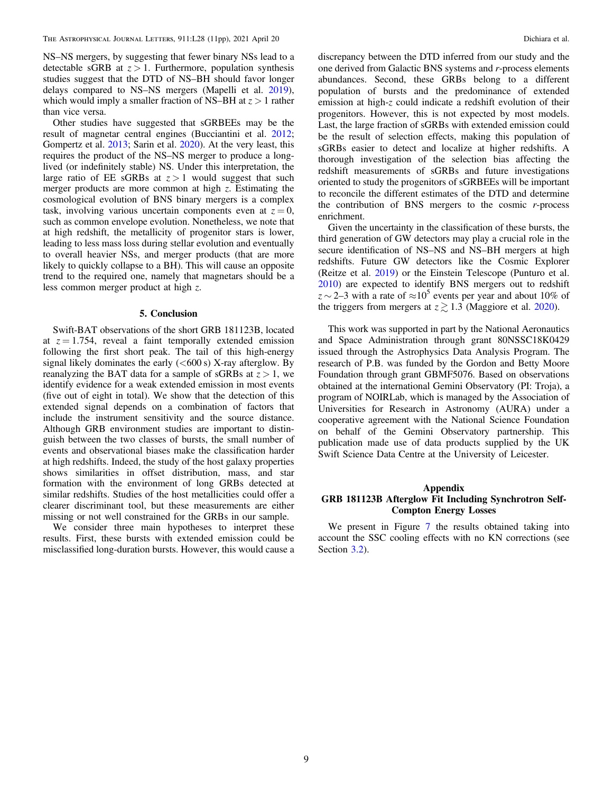<span id="page-8-0"></span>NS–NS mergers, by suggesting that fewer binary NSs lead to a detectable sGRB at  $z > 1$ . Furthermore, population synthesis studies suggest that the DTD of NS–BH should favor longer delays compared to NS–NS mergers (Mapelli et al. [2019](#page-10-0)), which would imply a smaller fraction of NS–BH at  $z > 1$  rather than vice versa.

Other studies have suggested that sGRBEEs may be the result of magnetar central engines (Bucciantini et al. [2012](#page-9-0); Gompertz et al. [2013;](#page-9-0) Sarin et al. [2020](#page-10-0)). At the very least, this requires the product of the NS–NS merger to produce a longlived (or indefinitely stable) NS. Under this interpretation, the large ratio of EE sGRBs at  $z > 1$  would suggest that such merger products are more common at high  $z$ . Estimating the cosmological evolution of BNS binary mergers is a complex task, involving various uncertain components even at  $z = 0$ , such as common envelope evolution. Nonetheless, we note that at high redshift, the metallicity of progenitor stars is lower, leading to less mass loss during stellar evolution and eventually to overall heavier NSs, and merger products (that are more likely to quickly collapse to a BH). This will cause an opposite trend to the required one, namely that magnetars should be a less common merger product at high z.

### 5. Conclusion

Swift-BAT observations of the short GRB 181123B, located at  $z = 1.754$ , reveal a faint temporally extended emission following the first short peak. The tail of this high-energy signal likely dominates the early  $(<600 s)$  X-ray afterglow. By reanalyzing the BAT data for a sample of sGRBs at  $z > 1$ , we identify evidence for a weak extended emission in most events (five out of eight in total). We show that the detection of this extended signal depends on a combination of factors that include the instrument sensitivity and the source distance. Although GRB environment studies are important to distinguish between the two classes of bursts, the small number of events and observational biases make the classification harder at high redshifts. Indeed, the study of the host galaxy properties shows similarities in offset distribution, mass, and star formation with the environment of long GRBs detected at similar redshifts. Studies of the host metallicities could offer a clearer discriminant tool, but these measurements are either missing or not well constrained for the GRBs in our sample.

We consider three main hypotheses to interpret these results. First, these bursts with extended emission could be misclassified long-duration bursts. However, this would cause a discrepancy between the DTD inferred from our study and the one derived from Galactic BNS systems and r-process elements abundances. Second, these GRBs belong to a different population of bursts and the predominance of extended emission at high-z could indicate a redshift evolution of their progenitors. However, this is not expected by most models. Last, the large fraction of sGRBs with extended emission could be the result of selection effects, making this population of sGRBs easier to detect and localize at higher redshifts. A thorough investigation of the selection bias affecting the redshift measurements of sGRBs and future investigations oriented to study the progenitors of sGRBEEs will be important to reconcile the different estimates of the DTD and determine the contribution of BNS mergers to the cosmic  $r$ -process enrichment.

Given the uncertainty in the classification of these bursts, the third generation of GW detectors may play a crucial role in the secure identification of NS–NS and NS–BH mergers at high redshifts. Future GW detectors like the Cosmic Explorer (Reitze et al. [2019](#page-10-0)) or the Einstein Telescope (Punturo et al. [2010](#page-10-0)) are expected to identify BNS mergers out to redshift  $z \sim 2-3$  with a rate of  $\approx 10^5$  events per year and about 10% of the triggers from mergers at  $z \gtrsim 1.3$  (Maggiore et al. [2020](#page-10-0)).

This work was supported in part by the National Aeronautics and Space Administration through grant 80NSSC18K0429 issued through the Astrophysics Data Analysis Program. The research of P.B. was funded by the Gordon and Betty Moore Foundation through grant GBMF5076. Based on observations obtained at the international Gemini Observatory (PI: Troja), a program of NOIRLab, which is managed by the Association of Universities for Research in Astronomy (AURA) under a cooperative agreement with the National Science Foundation on behalf of the Gemini Observatory partnership. This publication made use of data products supplied by the UK Swift Science Data Centre at the University of Leicester.

# Appendix GRB 181123B Afterglow Fit Including Synchrotron Self-Compton Energy Losses

We present in Figure [7](#page-9-0) the results obtained taking into account the SSC cooling effects with no KN corrections (see Section [3.2](#page-3-0)).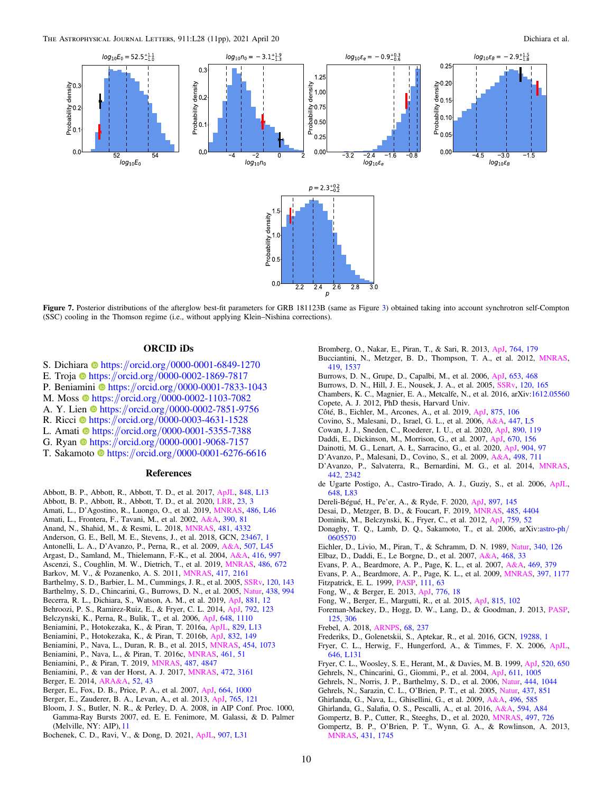<span id="page-9-0"></span>

Figure 7. Posterior distributions of the afterglow best-fit parameters for GRB 181123B (same as Figure [3](#page-4-0)) obtained taking into account synchrotron self-Compton (SSC) cooling in the Thomson regime (i.e., without applying Klein–Nishina corrections).

# ORCID iDs

- S. Dichi[a](https://orcid.org/0000-0001-6849-1270)ra [https:](https://orcid.org/0000-0001-6849-1270)//orcid.org/[0000-0001-6849-1270](https://orcid.org/0000-0001-6849-1270)
- E. Troj[a](https://orcid.org/0000-0002-1869-7817) [https:](https://orcid.org/0000-0002-1869-7817)//orcid.org/[0000-0002-1869-7817](https://orcid.org/0000-0002-1869-7817)
- P. Ben[i](https://orcid.org/0000-0001-7833-1043)amini **the [https:](https://orcid.org/0000-0001-7833-1043)//orcid.org/[0000-0001-7833-1043](https://orcid.org/0000-0001-7833-1043)**
- M. Mo[s](https://orcid.org/0000-0002-1103-7082)s  $\bullet$  [https:](https://orcid.org/0000-0002-1103-7082)//orcid.org/[0000-0002-1103-7082](https://orcid.org/0000-0002-1103-7082)
- A. Y. Lien  $\bullet$  [https:](https://orcid.org/0000-0002-7851-9756)//orcid.org/[0000-0002-7851-9756](https://orcid.org/0000-0002-7851-9756)
- R. R[i](https://orcid.org/0000-0003-4631-1528)cci  $\Phi$  [https:](https://orcid.org/0000-0003-4631-1528)//orcid.org/[0000-0003-4631-1528](https://orcid.org/0000-0003-4631-1528)
- L. Amat[i](https://orcid.org/0000-0001-5355-7388)  $\Phi$  [https:](https://orcid.org/0000-0001-5355-7388)//orcid.org/[0000-0001-5355-7388](https://orcid.org/0000-0001-5355-7388)
- G. Ryan [https:](https://orcid.org/0000-0001-9068-7157)//orcid.org/[0000-0001-9068-7157](https://orcid.org/0000-0001-9068-7157)
- T. Sakam[o](https://orcid.org/0000-0001-6276-6616)to **[https:](https://orcid.org/0000-0001-6276-6616)//orcid.org/[0000-0001-6276-6616](https://orcid.org/0000-0001-6276-6616)**

### References

- Abbott, B. P., Abbott, R., Abbott, T. D., et al. 2017, [ApJL](https://doi.org/10.3847/2041-8213/aa920c), [848, L13](https://ui.adsabs.harvard.edu/abs/2017ApJ...848L..13A/abstract)
- Abbott, B. P., Abbott, R., Abbott, T. D., et al. 2020, [LRR](https://doi.org/10.1007/s41114-020-00026-9), [23, 3](https://ui.adsabs.harvard.edu/abs/2020LRR....23....3A/abstract)
- Amati, L., D'Agostino, R., Luongo, O., et al. 2019, [MNRAS,](https://doi.org/10.1093/mnrasl/slz056) [486, L46](https://ui.adsabs.harvard.edu/abs/2019MNRAS.486L..46A/abstract)
- Amati, L., Frontera, F., Tavani, M., et al. 2002, [A&A](https://doi.org/10.1051/0004-6361:20020722), [390, 81](https://ui.adsabs.harvard.edu/abs/2002A&A...390...81A/abstract)
- Anand, N., Shahid, M., & Resmi, L. 2018, [MNRAS](https://doi.org/10.1093/mnras/sty2530), [481, 4332](https://ui.adsabs.harvard.edu/abs/2018MNRAS.481.4332A/abstract)
- Anderson, G. E., Bell, M. E., Stevens, J., et al. 2018, GCN, [23467, 1](https://ui.adsabs.harvard.edu/abs/2018GCN.23467....1A/abstract)
- Antonelli, L. A., D'Avanzo, P., Perna, R., et al. 2009, [A&A](https://doi.org/10.1051/0004-6361/200913062), [507, L45](https://ui.adsabs.harvard.edu/abs/2009A&A...507L..45A/abstract) Argast, D., Samland, M., Thielemann, F.-K., et al. 2004, [A&A](https://doi.org/10.1051/0004-6361:20034265), [416, 997](https://ui.adsabs.harvard.edu/abs/2004A&A...416..997A/abstract)
- Ascenzi, S., Coughlin, M. W., Dietrich, T., et al. 2019, [MNRAS](https://doi.org/10.1093/mnras/stz891), [486, 672](https://ui.adsabs.harvard.edu/abs/2019MNRAS.486..672A/abstract)
- Barkov, M. V., & Pozanenko, A. S. 2011, [MNRAS](https://doi.org/10.1111/j.1365-2966.2011.19398.x), [417, 2161](https://ui.adsabs.harvard.edu/abs/2011MNRAS.417.2161B/abstract)
- Barthelmy, S. D., Barbier, L. M., Cummings, J. R., et al. 2005, [SSRv](https://doi.org/10.1007/s11214-005-5096-3), [120, 143](https://ui.adsabs.harvard.edu/abs/2005SSRv..120..143B/abstract)
- Barthelmy, S. D., Chincarini, G., Burrows, D. N., et al. 2005, [Natur](https://doi.org/10.1038/nature04392), [438, 994](https://ui.adsabs.harvard.edu/abs/2005Natur.438..994B/abstract)
- Becerra, R. L., Dichiara, S., Watson, A. M., et al. 2019, [ApJ](https://doi.org/10.3847/1538-4357/ab275b), [881, 12](https://ui.adsabs.harvard.edu/abs/2019ApJ...881...12B/abstract)
- Behroozi, P. S., Ramirez-Ruiz, E., & Fryer, C. L. 2014, [ApJ](https://doi.org/10.1088/0004-637X/792/2/123), [792, 123](https://ui.adsabs.harvard.edu/abs/2014ApJ...792..123B/abstract)
- Belczynski, K., Perna, R., Bulik, T., et al. 2006, [ApJ](https://doi.org/10.1086/505169), [648, 1110](https://ui.adsabs.harvard.edu/abs/2006ApJ...648.1110B/abstract)
- Beniamini, P., Hotokezaka, K., & Piran, T. 2016a, [ApJL,](https://doi.org/10.3847/2041-8205/829/1/L13) [829, L13](https://ui.adsabs.harvard.edu/abs/2016ApJ...829L..13B/abstract)
- Beniamini, P., Hotokezaka, K., & Piran, T. 2016b, [ApJ](https://doi.org/10.3847/0004-637X/832/2/149), [832, 149](https://ui.adsabs.harvard.edu/abs/2016ApJ...832..149B/abstract)
- Beniamini, P., Nava, L., Duran, R. B., et al. 2015, [MNRAS](https://doi.org/10.1093/mnras/stv2033), [454, 1073](https://ui.adsabs.harvard.edu/abs/2015MNRAS.454.1073B/abstract)
- Beniamini, P., Nava, L., & Piran, T. 2016c, [MNRAS](https://doi.org/10.1093/mnras/stw1331), [461, 51](https://ui.adsabs.harvard.edu/abs/2016MNRAS.461...51B/abstract)
- Beniamini, P., & Piran, T. 2019, [MNRAS,](https://doi.org/10.1093/mnras/stz1589) [487, 4847](https://ui.adsabs.harvard.edu/abs/2019MNRAS.487.4847B/abstract)
- Beniamini, P., & van der Horst, A. J. 2017, [MNRAS](https://doi.org/10.1093/mnras/stx2203), [472, 3161](https://ui.adsabs.harvard.edu/abs/2017MNRAS.472.3161B/abstract)
- Berger, E. 2014, [ARA&A,](https://doi.org/10.1146/annurev-astro-081913-035926) [52, 43](https://ui.adsabs.harvard.edu/abs/2014ARA&A..52...43B/abstract)
- Berger, E., Fox, D. B., Price, P. A., et al. 2007, [ApJ,](https://doi.org/10.1086/518762) [664, 1000](https://ui.adsabs.harvard.edu/abs/2007ApJ...664.1000B/abstract)
- Berger, E., Zauderer, B. A., Levan, A., et al. 2013, [ApJ,](https://doi.org/10.1088/0004-637X/765/2/121) [765, 121](https://ui.adsabs.harvard.edu/abs/2013ApJ...765..121B/abstract)
- Bloom, J. S., Butler, N. R., & Perley, D. A. 2008, in AIP Conf. Proc. 1000, Gamma-Ray Bursts 2007, ed. E. E. Fenimore, M. Galassi, & D. Palmer (Melville, NY: AIP), [11](https://ui.adsabs.harvard.edu/abs/2008AIPC.1000...11B/abstract)
- Bochenek, C. D., Ravi, V., & Dong, D. 2021, [ApJL](https://doi.org/10.3847/2041-8213/abd634), [907, L31](https://ui.adsabs.harvard.edu/abs/2021ApJ...907L..31B/abstract)
- Bromberg, O., Nakar, E., Piran, T., & Sari, R. 2013, [ApJ](https://doi.org/10.1088/0004-637X/764/2/179), [764, 179](https://ui.adsabs.harvard.edu/abs/2013ApJ...764..179B/abstract)
- Bucciantini, N., Metzger, B. D., Thompson, T. A., et al. 2012, [MNRAS](https://doi.org/10.1111/j.1365-2966.2011.19810.x)[,](https://ui.adsabs.harvard.edu/abs/2012MNRAS.419.1537B/abstract) [419, 1537](https://ui.adsabs.harvard.edu/abs/2012MNRAS.419.1537B/abstract)
- Burrows, D. N., Grupe, D., Capalbi, M., et al. 2006, [ApJ](https://doi.org/10.1086/508740), [653, 468](https://ui.adsabs.harvard.edu/abs/2006ApJ...653..468B/abstract)
- Burrows, D. N., Hill, J. E., Nousek, J. A., et al. 2005, [SSRv,](https://doi.org/10.1007/s11214-005-5097-2) [120, 165](https://ui.adsabs.harvard.edu/abs/2005SSRv..120..165B/abstract)
- Chambers, K. C., Magnier, E. A., Metcalfe, N., et al. 2016, arXiv[:1612.05560](http://arxiv.org/abs/1612.05560) Copete, A. J. 2012, PhD thesis, Harvard Univ.
- Côté, B., Eichler, M., Arcones, A., et al. 2019, [ApJ,](https://doi.org/10.3847/1538-4357/ab10db) [875, 106](https://ui.adsabs.harvard.edu/abs/2019ApJ...875..106C/abstract)
- Covino, S., Malesani, D., Israel, G. L., et al. 2006, [A&A,](https://doi.org/10.1051/0004-6361:200500228) [447, L5](https://ui.adsabs.harvard.edu/abs/2006A&A...447L...5C/abstract)
- Cowan, J. J., Sneden, C., Roederer, I. U., et al. 2020, [ApJ,](https://doi.org/10.3847/1538-4357/ab6aa9) [890, 119](https://ui.adsabs.harvard.edu/abs/2020ApJ...890..119C/abstract)
- Daddi, E., Dickinson, M., Morrison, G., et al. 2007, [ApJ,](https://doi.org/10.1086/521818) [670, 156](https://ui.adsabs.harvard.edu/abs/2007ApJ...670..156D/abstract)
- Dainotti, M. G., Lenart, A. Ł, Sarracino, G., et al. 2020, [ApJ,](https://doi.org/10.3847/1538-4357/abbe8a) [904, 97](https://ui.adsabs.harvard.edu/abs/2020ApJ...904...97D/abstract)
- D'Avanzo, P., Malesani, D., Covino, S., et al. 2009, [A&A](https://doi.org/10.1051/0004-6361/200811294), [498, 711](https://ui.adsabs.harvard.edu/abs/2009A&A...498..711D/abstract)
- D'Avanzo, P., Salvaterra, R., Bernardini, M. G., et al. 2014, [MNRAS](https://doi.org/10.1093/mnras/stu994)[,](https://ui.adsabs.harvard.edu/abs/2014MNRAS.442.2342D/abstract) [442, 2342](https://ui.adsabs.harvard.edu/abs/2014MNRAS.442.2342D/abstract)
- de Ugarte Postigo, A., Castro-Tirado, A. J., Guziy, S., et al. 2006, [ApJL](https://doi.org/10.1086/507868)[,](https://ui.adsabs.harvard.edu/abs/2006ApJ...648L..83D/abstract) [648, L83](https://ui.adsabs.harvard.edu/abs/2006ApJ...648L..83D/abstract)
- Dereli-Bégué, H., Pe'er, A., & Ryde, F. 2020, [ApJ,](https://doi.org/10.3847/1538-4357/ab9a2d) [897, 145](https://ui.adsabs.harvard.edu/abs/2020ApJ...897..145D/abstract)
- Desai, D., Metzger, B. D., & Foucart, F. 2019, [MNRAS](https://doi.org/10.1093/mnras/stz644), [485, 4404](https://ui.adsabs.harvard.edu/abs/2019MNRAS.485.4404D/abstract)
- Dominik, M., Belczynski, K., Fryer, C., et al. 2012, [ApJ](https://doi.org/10.1088/0004-637X/759/1/52), [759, 52](https://ui.adsabs.harvard.edu/abs/2012ApJ...759...52D/abstract)
- Donaghy, T. Q., Lamb, D. Q., Sakamoto, T., et al. 2006, arXiv[:astro-ph](http://arxiv.org/abs/astro-ph/0605570)/ [0605570](http://arxiv.org/abs/astro-ph/0605570)
- Eichler, D., Livio, M., Piran, T., & Schramm, D. N. 1989, [Natur,](https://doi.org/10.1038/340126a0) [340, 126](https://ui.adsabs.harvard.edu/abs/1989Natur.340..126E/abstract)
- Elbaz, D., Daddi, E., Le Borgne, D., et al. 2007, [A&A](https://doi.org/10.1051/0004-6361:20077525), [468, 33](https://ui.adsabs.harvard.edu/abs/2007A&A...468...33E/abstract)
- Evans, P. A., Beardmore, A. P., Page, K. L., et al. 2007, [A&A](https://doi.org/10.1051/0004-6361:20077530), [469, 379](https://ui.adsabs.harvard.edu/abs/2007A&A...469..379E/abstract)
- Evans, P. A., Beardmore, A. P., Page, K. L., et al. 2009, [MNRAS](https://doi.org/10.1111/j.1365-2966.2009.14913.x), [397, 1177](https://ui.adsabs.harvard.edu/abs/2009MNRAS.397.1177E/abstract)
- Fitzpatrick, E. L. 1999, [PASP](https://doi.org/10.1086/316293), [111, 63](https://ui.adsabs.harvard.edu/abs/1999PASP..111...63F/abstract)
- Fong, W., & Berger, E. 2013, [ApJ,](https://doi.org/10.1088/0004-637X/776/1/18) [776, 18](https://ui.adsabs.harvard.edu/abs/2013ApJ...776...18F/abstract)
- Fong, W., Berger, E., Margutti, R., et al. 2015, [ApJ,](https://doi.org/10.1088/0004-637X/815/2/102) [815, 102](https://ui.adsabs.harvard.edu/abs/2015ApJ...815..102F/abstract)
- Foreman-Mackey, D., Hogg, D. W., Lang, D., & Goodman, J. 2013, [PASP](https://doi.org/10.1086/670067)[,](https://ui.adsabs.harvard.edu/abs/2013PASP..125..306F/abstract) [125, 306](https://ui.adsabs.harvard.edu/abs/2013PASP..125..306F/abstract)
- Frebel, A. 2018, [ARNPS](https://doi.org/10.1146/annurev-nucl-101917-021141), [68, 237](https://ui.adsabs.harvard.edu/abs/2018ARNPS..68..237F/abstract)
- Frederiks, D., Golenetskii, S., Aptekar, R., et al. 2016, GCN, [19288, 1](https://ui.adsabs.harvard.edu/abs/2016GCN..19288...1F/abstract)
- Fryer, C. L., Herwig, F., Hungerford, A., & Timmes, F. X. 2006, [ApJL](https://doi.org/10.1086/507071)[,](https://ui.adsabs.harvard.edu/abs/2006ApJ...646L.131F/abstract) [646, L131](https://ui.adsabs.harvard.edu/abs/2006ApJ...646L.131F/abstract)
- Fryer, C. L., Woosley, S. E., Herant, M., & Davies, M. B. 1999, [ApJ,](https://doi.org/10.1086/307467) [520, 650](https://ui.adsabs.harvard.edu/abs/1999ApJ...520..650F/abstract)
- Gehrels, N., Chincarini, G., Giommi, P., et al. 2004, [ApJ,](https://doi.org/10.1086/422091) [611, 1005](https://ui.adsabs.harvard.edu/abs/2004ApJ...611.1005G/abstract)
- Gehrels, N., Norris, J. P., Barthelmy, S. D., et al. 2006, [Natur](https://doi.org/10.1038/nature05376), [444, 1044](https://ui.adsabs.harvard.edu/abs/2006Natur.444.1044G/abstract)
- Gehrels, N., Sarazin, C. L., O'Brien, P. T., et al. 2005, [Natur](https://doi.org/10.1038/nature04142), [437, 851](https://ui.adsabs.harvard.edu/abs/2005Natur.437..851G/abstract)
- Ghirlanda, G., Nava, L., Ghisellini, G., et al. 2009, [A&A](https://doi.org/10.1051/0004-6361/200811209), [496, 585](https://ui.adsabs.harvard.edu/abs/2009A&A...496..585G/abstract)
- Ghirlanda, G., Salafia, O. S., Pescalli, A., et al. 2016, [A&A](https://doi.org/10.1051/0004-6361/201628993), [594, A84](https://ui.adsabs.harvard.edu/abs/2016A&A...594A..84G/abstract)
- Gompertz, B. P., Cutter, R., Steeghs, D., et al. 2020, [MNRAS](https://doi.org/10.1093/mnras/staa1845), [497, 726](https://ui.adsabs.harvard.edu/abs/2020MNRAS.497..726G/abstract)
- Gompertz, B. P., O'Brien, P. T., Wynn, G. A., & Rowlinson, A. 2013, [MNRAS](https://doi.org/10.1093/mnras/stt293), [431, 1745](https://ui.adsabs.harvard.edu/abs/2013MNRAS.431.1745G/abstract)